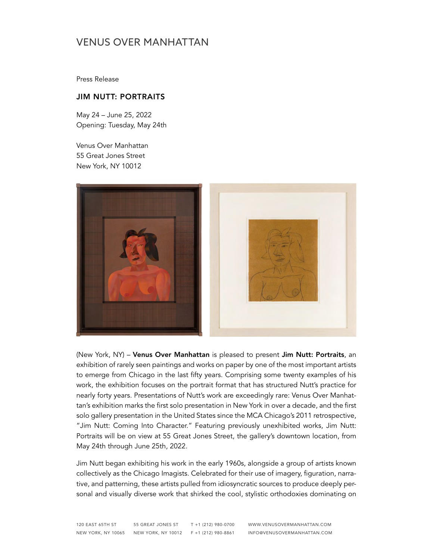Press Release

### JIM NUTT: PORTRAITS

May 24 – June 25, 2022 Opening: Tuesday, May 24th

Venus Over Manhattan 55 Great Jones Street New York, NY 10012



(New York, NY) – Venus Over Manhattan is pleased to present Jim Nutt: Portraits, an exhibition of rarely seen paintings and works on paper by one of the most important artists to emerge from Chicago in the last fifty years. Comprising some twenty examples of his work, the exhibition focuses on the portrait format that has structured Nutt's practice for nearly forty years. Presentations of Nutt's work are exceedingly rare: Venus Over Manhattan's exhibition marks the first solo presentation in New York in over a decade, and the first solo gallery presentation in the United States since the MCA Chicago's 2011 retrospective, "Jim Nutt: Coming Into Character." Featuring previously unexhibited works, Jim Nutt: Portraits will be on view at 55 Great Jones Street, the gallery's downtown location, from May 24th through June 25th, 2022.

Jim Nutt began exhibiting his work in the early 1960s, alongside a group of artists known collectively as the Chicago Imagists. Celebrated for their use of imagery, figuration, narrative, and patterning, these artists pulled from idiosyncratic sources to produce deeply personal and visually diverse work that shirked the cool, stylistic orthodoxies dominating on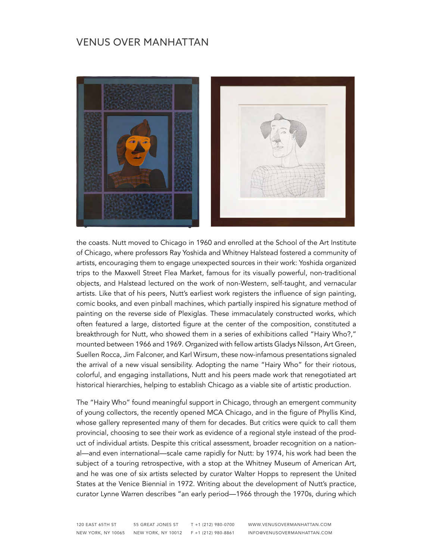

the coasts. Nutt moved to Chicago in 1960 and enrolled at the School of the Art Institute of Chicago, where professors Ray Yoshida and Whitney Halstead fostered a community of artists, encouraging them to engage unexpected sources in their work: Yoshida organized trips to the Maxwell Street Flea Market, famous for its visually powerful, non-traditional objects, and Halstead lectured on the work of non-Western, self-taught, and vernacular artists. Like that of his peers, Nutt's earliest work registers the influence of sign painting, comic books, and even pinball machines, which partially inspired his signature method of painting on the reverse side of Plexiglas. These immaculately constructed works, which often featured a large, distorted figure at the center of the composition, constituted a breakthrough for Nutt, who showed them in a series of exhibitions called "Hairy Who?," mounted between 1966 and 1969. Organized with fellow artists Gladys Nilsson, Art Green, Suellen Rocca, Jim Falconer, and Karl Wirsum, these now-infamous presentations signaled the arrival of a new visual sensibility. Adopting the name "Hairy Who" for their riotous, colorful, and engaging installations, Nutt and his peers made work that renegotiated art historical hierarchies, helping to establish Chicago as a viable site of artistic production.

The "Hairy Who" found meaningful support in Chicago, through an emergent community of young collectors, the recently opened MCA Chicago, and in the figure of Phyllis Kind, whose gallery represented many of them for decades. But critics were quick to call them provincial, choosing to see their work as evidence of a regional style instead of the product of individual artists. Despite this critical assessment, broader recognition on a national—and even international—scale came rapidly for Nutt: by 1974, his work had been the subject of a touring retrospective, with a stop at the Whitney Museum of American Art, and he was one of six artists selected by curator Walter Hopps to represent the United States at the Venice Biennial in 1972. Writing about the development of Nutt's practice, curator Lynne Warren describes "an early period—1966 through the 1970s, during which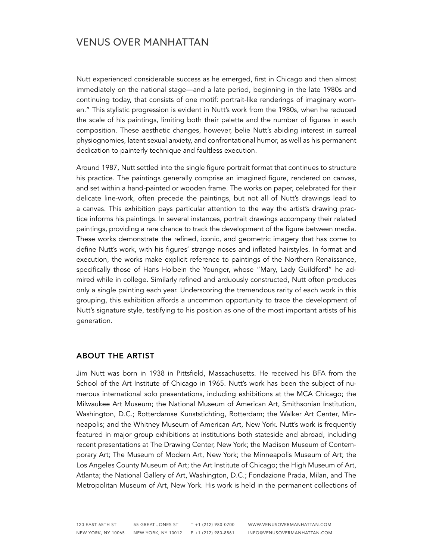Nutt experienced considerable success as he emerged, first in Chicago and then almost immediately on the national stage—and a late period, beginning in the late 1980s and continuing today, that consists of one motif: portrait-like renderings of imaginary women." This stylistic progression is evident in Nutt's work from the 1980s, when he reduced the scale of his paintings, limiting both their palette and the number of figures in each composition. These aesthetic changes, however, belie Nutt's abiding interest in surreal physiognomies, latent sexual anxiety, and confrontational humor, as well as his permanent dedication to painterly technique and faultless execution.

Around 1987, Nutt settled into the single figure portrait format that continues to structure his practice. The paintings generally comprise an imagined figure, rendered on canvas, and set within a hand-painted or wooden frame. The works on paper, celebrated for their delicate line-work, often precede the paintings, but not all of Nutt's drawings lead to a canvas. This exhibition pays particular attention to the way the artist's drawing practice informs his paintings. In several instances, portrait drawings accompany their related paintings, providing a rare chance to track the development of the figure between media. These works demonstrate the refined, iconic, and geometric imagery that has come to define Nutt's work, with his figures' strange noses and inflated hairstyles. In format and execution, the works make explicit reference to paintings of the Northern Renaissance, specifically those of Hans Holbein the Younger, whose "Mary, Lady Guildford" he admired while in college. Similarly refined and arduously constructed, Nutt often produces only a single painting each year. Underscoring the tremendous rarity of each work in this grouping, this exhibition affords a uncommon opportunity to trace the development of Nutt's signature style, testifying to his position as one of the most important artists of his generation.

#### ABOUT THE ARTIST

Jim Nutt was born in 1938 in Pittsfield, Massachusetts. He received his BFA from the School of the Art Institute of Chicago in 1965. Nutt's work has been the subject of numerous international solo presentations, including exhibitions at the MCA Chicago; the Milwaukee Art Museum; the National Museum of American Art, Smithsonian Institution, Washington, D.C.; Rotterdamse Kunststichting, Rotterdam; the Walker Art Center, Minneapolis; and the Whitney Museum of American Art, New York. Nutt's work is frequently featured in major group exhibitions at institutions both stateside and abroad, including recent presentations at The Drawing Center, New York; the Madison Museum of Contemporary Art; The Museum of Modern Art, New York; the Minneapolis Museum of Art; the Los Angeles County Museum of Art; the Art Institute of Chicago; the High Museum of Art, Atlanta; the National Gallery of Art, Washington, D.C.; Fondazione Prada, Milan, and The Metropolitan Museum of Art, New York. His work is held in the permanent collections of